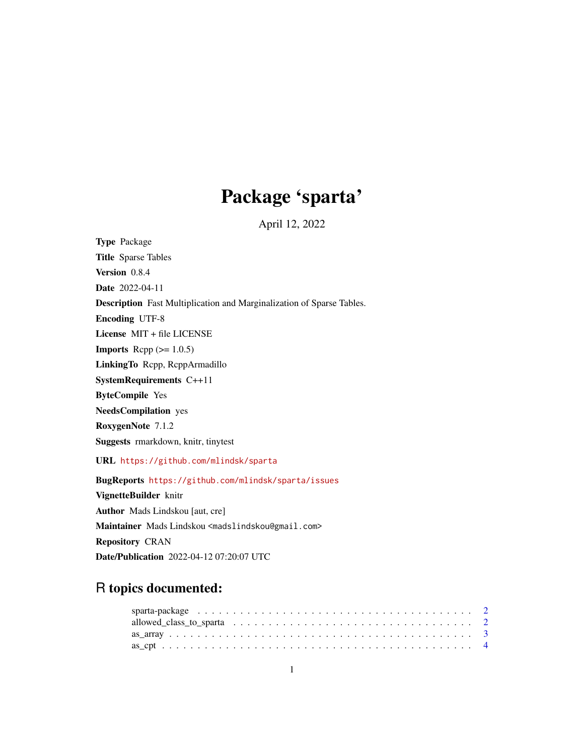## Package 'sparta'

April 12, 2022

Type Package Title Sparse Tables Version 0.8.4 Date 2022-04-11 Description Fast Multiplication and Marginalization of Sparse Tables. Encoding UTF-8 License MIT + file LICENSE **Imports** Rcpp  $(>= 1.0.5)$ LinkingTo Rcpp, RcppArmadillo SystemRequirements C++11 ByteCompile Yes NeedsCompilation yes RoxygenNote 7.1.2 Suggests rmarkdown, knitr, tinytest URL <https://github.com/mlindsk/sparta> BugReports <https://github.com/mlindsk/sparta/issues> VignetteBuilder knitr Author Mads Lindskou [aut, cre] Maintainer Mads Lindskou <madslindskou@gmail.com> Repository CRAN Date/Publication 2022-04-12 07:20:07 UTC

### R topics documented: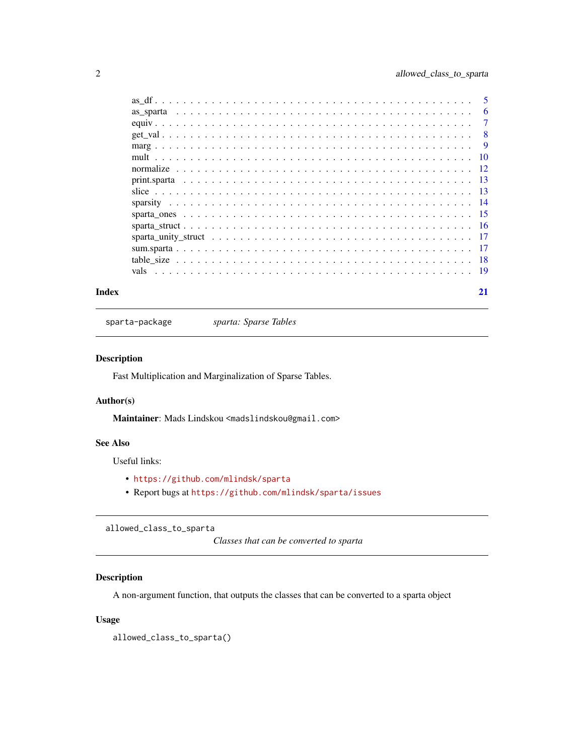<span id="page-1-0"></span>

|  | -5  |
|--|-----|
|  | 6   |
|  | 7   |
|  | -8  |
|  | -9  |
|  | -10 |
|  |     |
|  |     |
|  |     |
|  |     |
|  |     |
|  |     |
|  |     |
|  |     |
|  |     |
|  |     |
|  |     |

#### **Index** [21](#page-20-0)

sparta-package *sparta: Sparse Tables*

#### Description

Fast Multiplication and Marginalization of Sparse Tables.

#### Author(s)

Maintainer: Mads Lindskou <madslindskou@gmail.com>

#### See Also

Useful links:

- <https://github.com/mlindsk/sparta>
- Report bugs at <https://github.com/mlindsk/sparta/issues>

allowed\_class\_to\_sparta

*Classes that can be converted to sparta*

#### Description

A non-argument function, that outputs the classes that can be converted to a sparta object

#### Usage

allowed\_class\_to\_sparta()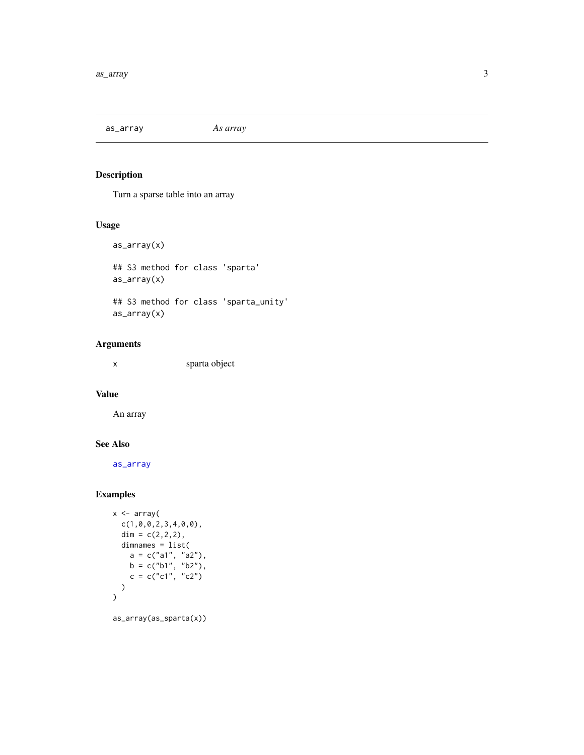<span id="page-2-1"></span><span id="page-2-0"></span>as\_array *As array*

#### Description

Turn a sparse table into an array

#### Usage

```
as_array(x)
## S3 method for class 'sparta'
as_array(x)
## S3 method for class 'sparta_unity'
as_array(x)
```
#### Arguments

x sparta object

#### Value

An array

#### See Also

[as\\_array](#page-2-1)

```
x <- array(
  c(1,0,0,2,3,4,0,0),
  dim = c(2,2,2),
  dimnames = list(
    a = c("a1", "a2"),
    b = c("b1", "b2"),
    c = c("c1", "c2")\lambda)
as_array(as_sparta(x))
```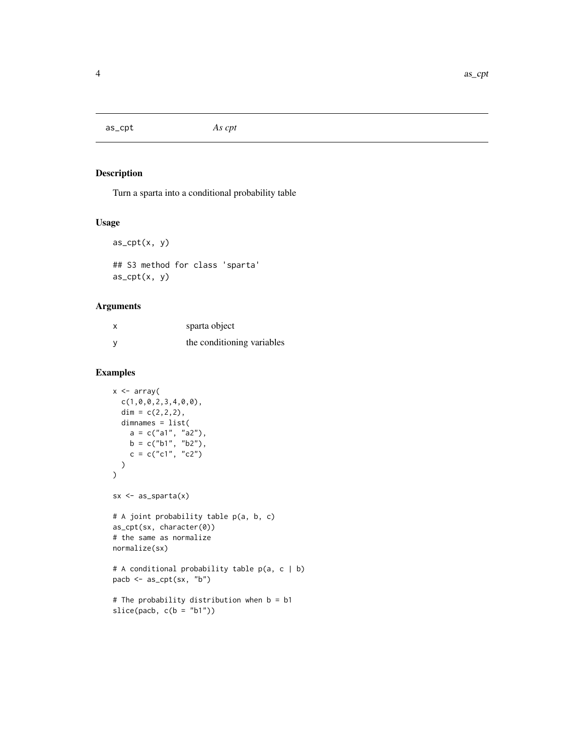<span id="page-3-0"></span>as\_cpt *As cpt*

#### Description

Turn a sparta into a conditional probability table

#### Usage

```
as_cpt(x, y)
## S3 method for class 'sparta'
```
as\_cpt(x, y)

#### Arguments

| sparta object              |
|----------------------------|
| the conditioning variables |

#### Examples

```
x <- array(
  c(1,0,0,2,3,4,0,0),
  dim = c(2, 2, 2),
  dimnames = list(
    a = c("a1", "a2"),
    b = c("b1", "b2"),
    c = c("c1", "c2"))
\mathcal{L}sx \leftarrow as\_sparta(x)# A joint probability table p(a, b, c)
as_cpt(sx, character(0))
# the same as normalize
normalize(sx)
# A conditional probability table p(a, c | b)
pacb <- as_cpt(sx, "b")
# The probability distribution when b = b1
```
 $slice(pacb, c(b = "b1")$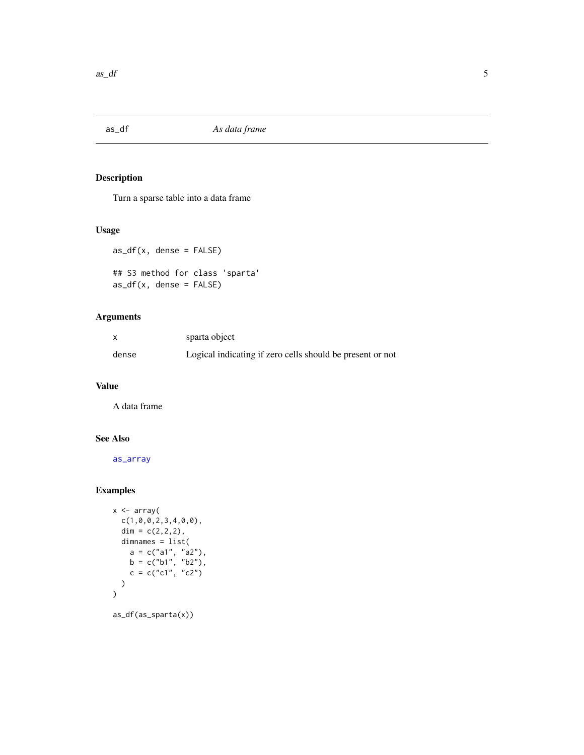<span id="page-4-0"></span>

#### Description

Turn a sparse table into a data frame

#### Usage

```
as_df(x, dense = FALSE)## S3 method for class 'sparta'
as_df(x, dense = FALSE)
```
#### Arguments

|       | sparta object                                             |
|-------|-----------------------------------------------------------|
| dense | Logical indicating if zero cells should be present or not |

#### Value

A data frame

#### See Also

[as\\_array](#page-2-1)

```
x \leq -\arctan(x)c(1,0,0,2,3,4,0,0),
  dim = c(2,2,2),
  dimnames = list(
     a = c("a1", "a2"),b = c("b1", "b2"),
     c = c("c1", "c2"))
\overline{\phantom{a}}as_df(as_sparta(x))
```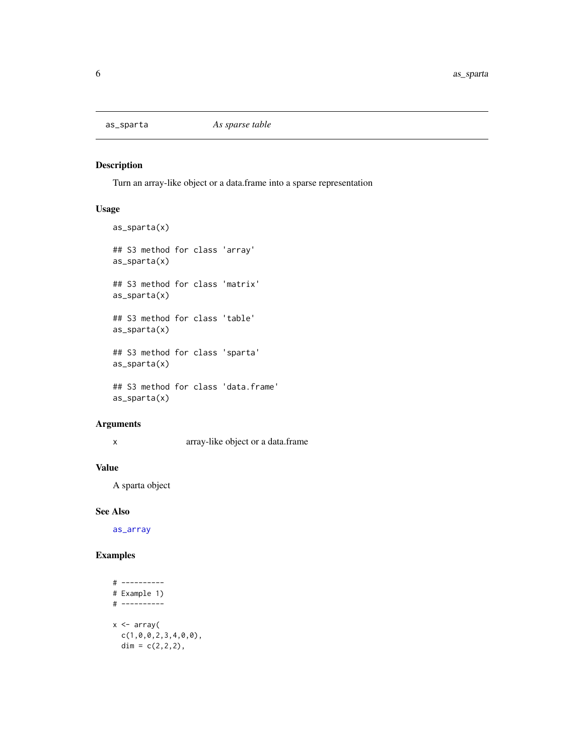<span id="page-5-0"></span>

#### Description

Turn an array-like object or a data.frame into a sparse representation

#### Usage

```
as_sparta(x)
## S3 method for class 'array'
as_sparta(x)
## S3 method for class 'matrix'
as_sparta(x)
## S3 method for class 'table'
as_sparta(x)
## S3 method for class 'sparta'
as_sparta(x)
## S3 method for class 'data.frame'
as_sparta(x)
```
#### Arguments

x array-like object or a data.frame

#### Value

A sparta object

#### See Also

[as\\_array](#page-2-1)

```
# ----------
# Example 1)
# ----------
x \leftarrow \text{array}(c(1,0,0,2,3,4,0,0),
  dim = c(2, 2, 2),
```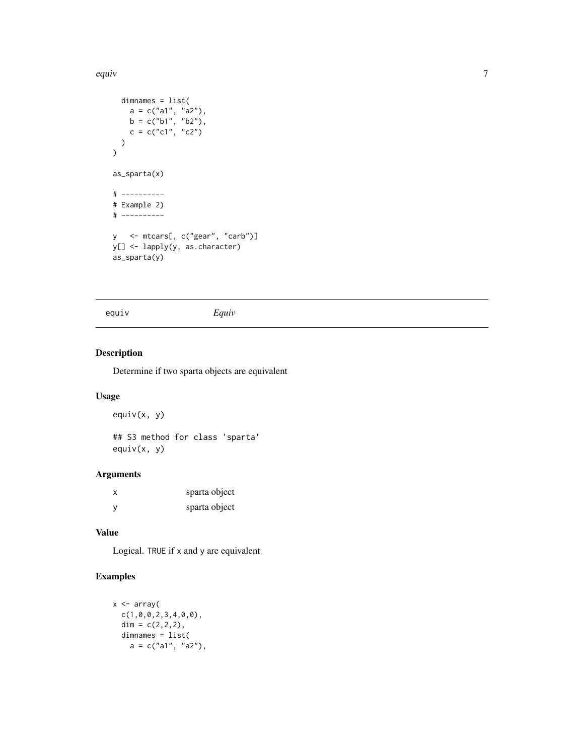<span id="page-6-0"></span>equiv and the contract of the contract of the contract of the contract of the contract of the contract of the contract of the contract of the contract of the contract of the contract of the contract of the contract of the

```
dimnames = list(
     a = c("a1", "a2"),
     b = c("b1", "b2"),
     c = c("c1", "c2"))
\overline{\phantom{a}}as_sparta(x)
# ----------
# Example 2)
# ----------
y <- mtcars[, c("gear", "carb")]
y[] <- lapply(y, as.character)
as_sparta(y)
```
equiv *Equiv*

#### Description

Determine if two sparta objects are equivalent

#### Usage

 $equiv(x, y)$ ## S3 method for class 'sparta'

equiv(x, y)

#### Arguments

| x   | sparta object |
|-----|---------------|
| - V | sparta object |

#### Value

Logical. TRUE if x and y are equivalent

```
x \leftarrow \text{array}(c(1,0,0,2,3,4,0,0),
  dim = c(2, 2, 2),
 dimnames = list(
    a = c("a1", "a2"),
```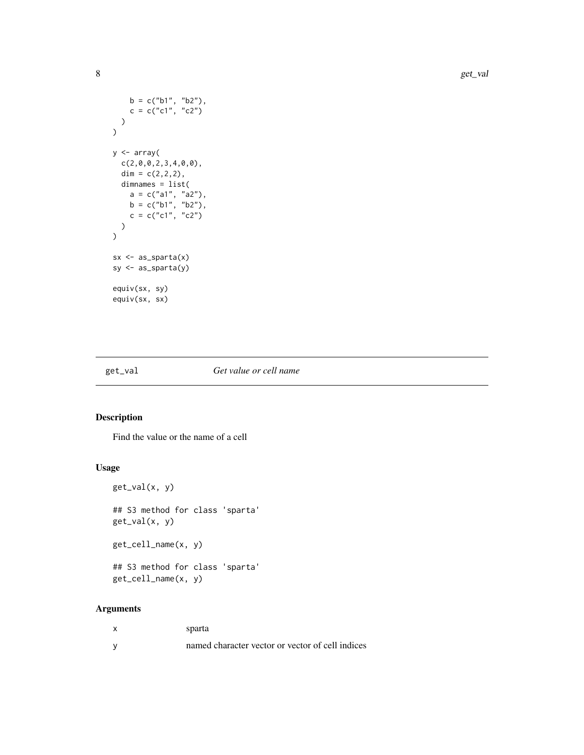```
b = c("b1", "b2"),
     c = c("c1", "c2"))
\overline{)}y <- array(
  c(2,0,0,2,3,4,0,0),
  dim = c(2, 2, 2),
  dimnames = list(
     a = c("a1", "a2"),
     b = c("b1", "b2"),
     c = c("c1", "c2"))
\overline{\phantom{a}}sx \leftarrow as\_sparta(x)sy <- as_sparta(y)
equiv(sx, sy)
equiv(sx, sx)
```
#### get\_val *Get value or cell name*

#### Description

Find the value or the name of a cell

#### Usage

```
get_val(x, y)
## S3 method for class 'sparta'
get_val(x, y)
get_cell_name(x, y)
## S3 method for class 'sparta'
get_cell_name(x, y)
```
#### Arguments

| x        | sparta                                           |
|----------|--------------------------------------------------|
| <b>V</b> | named character vector or vector of cell indices |

<span id="page-7-0"></span>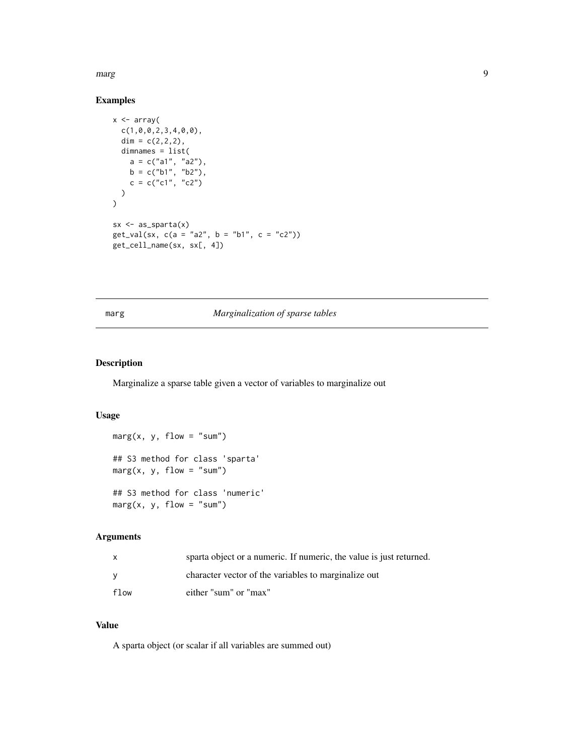<span id="page-8-0"></span>marg 2008 and 2009 and 2009 and 2009 and 2009 and 2009 and 2009 and 2009 and 2009 and 2009 and 2009 and 2009 and 2009 and 2009 and 2009 and 2009 and 2009 and 2009 and 2009 and 2009 and 2009 and 2009 and 2009 and 2009 and 2

#### Examples

```
x \leftarrow \text{array}(c(1,0,0,2,3,4,0,0),
  dim = c(2,2,2),
  dimnames = list(
     a = c("a1", "a2"),
     b = c("b1", "b2"),
     c = c("c1", "c2"))
\mathcal{L}sx \leftarrow as\_sparta(x)get_val(sx, c(a = "a2", b = "b1", c = "c2"))get_cell_name(sx, sx[, 4])
```
#### marg *Marginalization of sparse tables*

#### Description

Marginalize a sparse table given a vector of variables to marginalize out

#### Usage

 $marg(x, y, flow = "sum")$ ## S3 method for class 'sparta'  $marg(x, y, flow = "sum")$ ## S3 method for class 'numeric'  $marg(x, y, flow = "sum")$ 

#### Arguments

| $\mathsf{x}$ | sparta object or a numeric. If numeric, the value is just returned. |
|--------------|---------------------------------------------------------------------|
| <b>V</b>     | character vector of the variables to marginalize out                |
| flow         | either "sum" or "max"                                               |

#### Value

A sparta object (or scalar if all variables are summed out)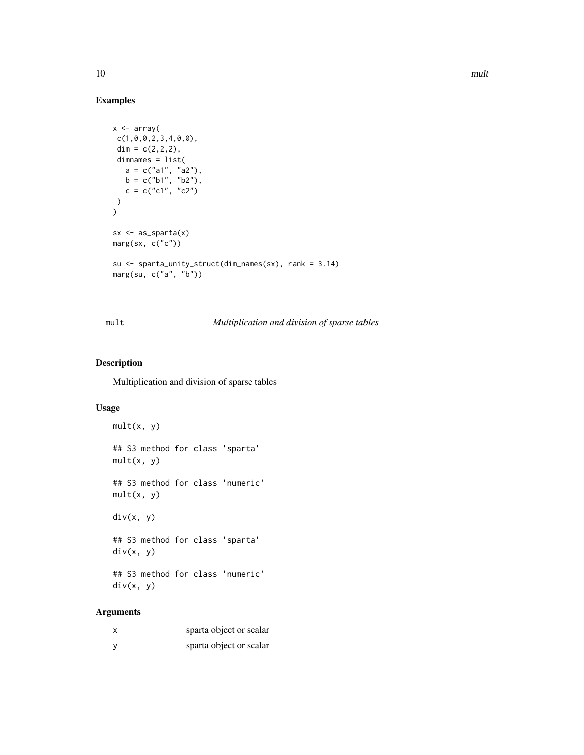#### Examples

```
x \leftarrow \text{array}(c(1,0,0,2,3,4,0,0),
 dim = c(2, 2, 2),
 dimnames = list(
    a = c("a1", "a2"),
    b = c("b1", "b2"),
    c = c("c1", "c2")\lambda)
sx \leftarrow as\_sparta(x)marg(sx, c("c"))
su <- sparta_unity_struct(dim_names(sx), rank = 3.14)
marg(su, c("a", "b"))
```
#### mult *Multiplication and division of sparse tables*

#### Description

Multiplication and division of sparse tables

#### Usage

```
mult(x, y)
   ## S3 method for class 'sparta'
   mult(x, y)
   ## S3 method for class 'numeric'
   mult(x, y)div(x, y)
   ## S3 method for class 'sparta'
   div(x, y)## S3 method for class 'numeric'
   div(x, y)Arguments
```

| sparta object or scalar |
|-------------------------|
| sparta object or scalar |

<span id="page-9-0"></span>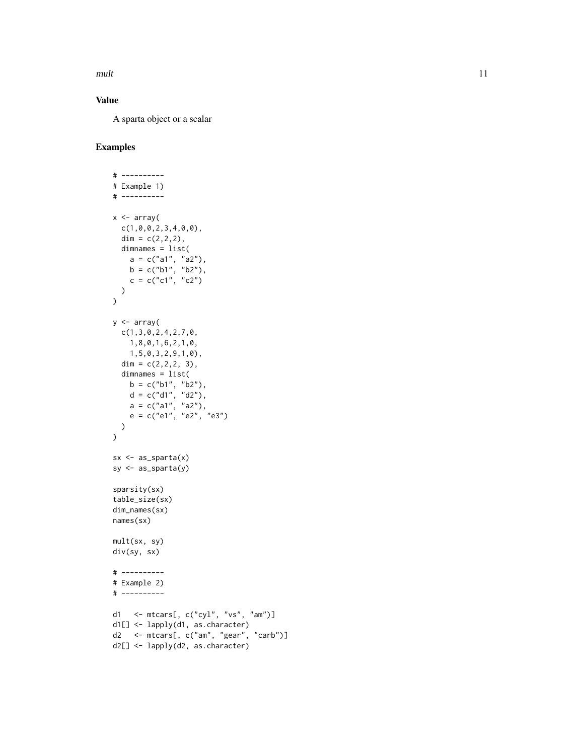mult the contract of the contract of the contract of the contract of the contract of the contract of the contract of the contract of the contract of the contract of the contract of the contract of the contract of the contr

#### Value

A sparta object or a scalar

```
# ----------
# Example 1)
# ----------
x \leftarrow \text{array}(c(1,0,0,2,3,4,0,0),
  dim = c(2, 2, 2),
 dimnames = list(
     a = c("a1", "a2"),
     b = c("b1", "b2"),
    c = c("c1", "c2")\lambda\mathcal{L}y \leq -\arctan(x)c(1,3,0,2,4,2,7,0,
    1,8,0,1,6,2,1,0,
    1,5,0,3,2,9,1,0),
  dim = c(2, 2, 2, 3),
  dimnames = list(
   b = c("b1", "b2"),d = c("d1", "d2"),a = c("a1", "a2"),e = c("e1", "e2", "e3"))
\lambdasx \leftarrow as\_sparta(x)sy <- as_sparta(y)
sparsity(sx)
table_size(sx)
dim_names(sx)
names(sx)
mult(sx, sy)
div(sy, sx)
# ----------
# Example 2)
# ----------
d1 <- mtcars[, c("cyl", "vs", "am")]
d1[] <- lapply(d1, as.character)
d2 <- mtcars[, c("am", "gear", "carb")]
d2[] <- lapply(d2, as.character)
```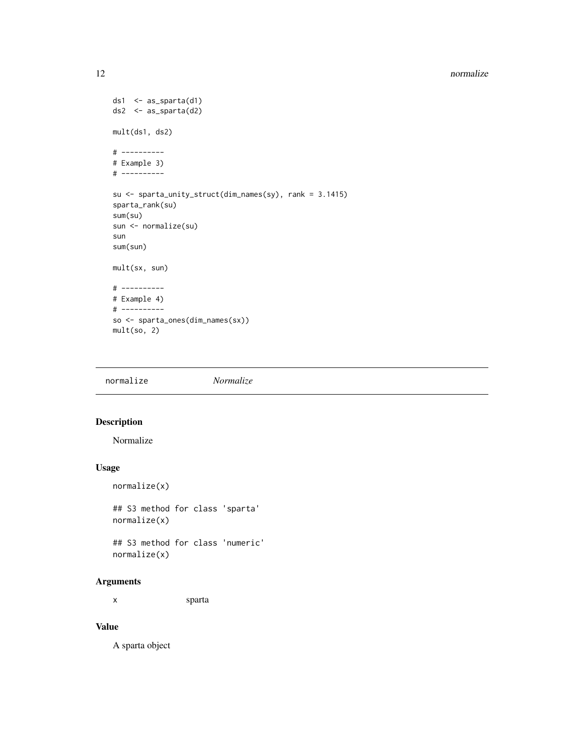#### <span id="page-11-0"></span>12 normalize the contract of the contract of the contract of the contract of the contract of the contract of the contract of the contract of the contract of the contract of the contract of the contract of the contract of t

```
ds1 \leq as_sparta(d1)
ds2 <- as_sparta(d2)
mult(ds1, ds2)
# ----------
# Example 3)
# ----------
su <- sparta_unity_struct(dim_names(sy), rank = 3.1415)
sparta_rank(su)
sum(su)
sun <- normalize(su)
sun
sum(sun)
mult(sx, sun)
# ----------
# Example 4)
# ----------
so <- sparta_ones(dim_names(sx))
mult(so, 2)
```
normalize *Normalize*

#### Description

Normalize

#### Usage

```
normalize(x)
```
## S3 method for class 'sparta' normalize(x)

## S3 method for class 'numeric' normalize(x)

#### Arguments

x sparta

#### Value

A sparta object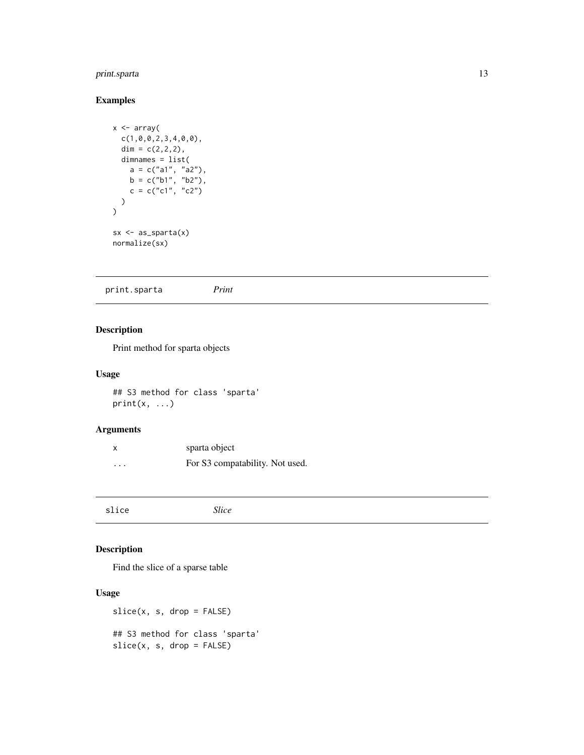#### <span id="page-12-0"></span>print.sparta 13

#### Examples

```
x \leftarrow \text{array}(c(1,0,0,2,3,4,0,0),
  dim = c(2, 2, 2),
  dimnames = list(
     a = c("a1", "a2"),b = c("b1", "b2"),
     c = c("c1", "c2"))
\mathcal{L}sx \leftarrow as\_sparta(x)normalize(sx)
```
print.sparta *Print*

#### Description

Print method for sparta objects

#### Usage

## S3 method for class 'sparta'  $print(x, \ldots)$ 

#### Arguments

| X                       | sparta object                   |
|-------------------------|---------------------------------|
| $\cdot$ $\cdot$ $\cdot$ | For S3 compatability. Not used. |

slice *Slice*

#### Description

Find the slice of a sparse table

#### Usage

slice(x, s, drop = FALSE) ## S3 method for class 'sparta'  $slice(x, s, drop = FALSE)$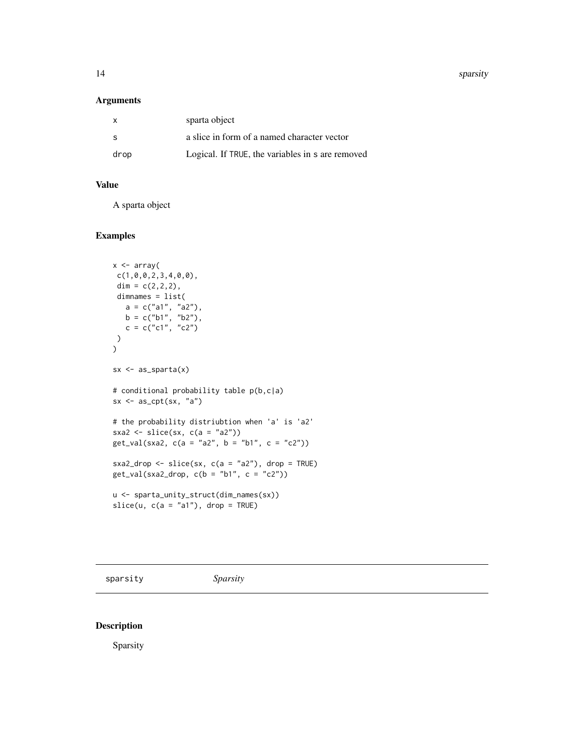<span id="page-13-0"></span>14 sparsity sparsity

#### Arguments

| x    | sparta object                                    |
|------|--------------------------------------------------|
| -S   | a slice in form of a named character vector      |
| drop | Logical. If TRUE, the variables in s are removed |

#### Value

A sparta object

#### Examples

```
x <- array(
c(1,0,0,2,3,4,0,0),
 dim = c(2, 2, 2),
 dimnames = list(
   a = c("a1", "a2"),
   b = c("b1", "b2"),c = c("c1", "c2"))
)
sx \leftarrow as\_sparta(x)# conditional probability table p(b,c|a)
sx \leq as_cpt(sx, "a")# the probability distriubtion when 'a' is 'a2'
sxa2 \leftarrow slice(sx, c(a = "a2"))
get_val(sxa2, c(a = "a2", b = "b1", c = "c2"))
sxa2_drop \le slice(sx, c(a = "a2"), drop = TRUE)
get_val(sxa2_drop, c(b = "b1", c = "c2"))u <- sparta_unity_struct(dim_names(sx))
slice(u, c(a = "a1"), drop = TRUE)
```
sparsity *Sparsity*

#### Description

Sparsity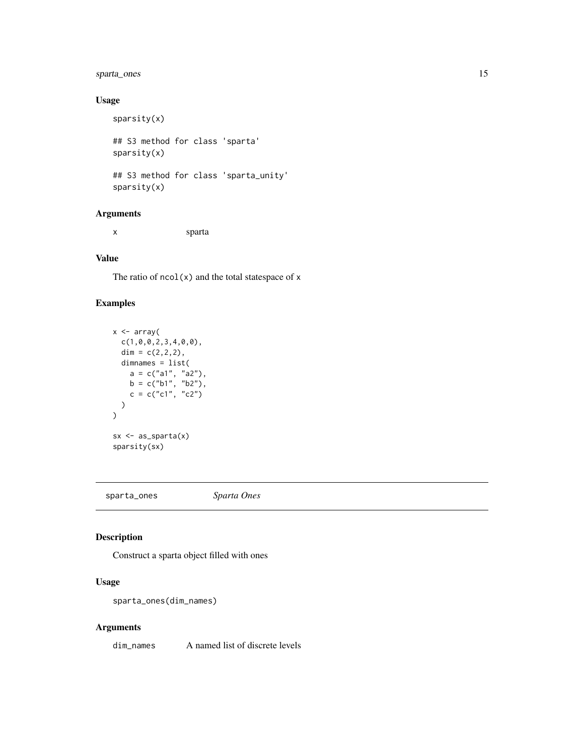#### <span id="page-14-0"></span>sparta\_ones 15

#### Usage

```
sparsity(x)
## S3 method for class 'sparta'
sparsity(x)
## S3 method for class 'sparta_unity'
sparsity(x)
```
#### Arguments

x sparta

#### Value

The ratio of  $ncol(x)$  and the total statespace of x

#### Examples

```
x \leftarrow \text{array}(c(1,0,0,2,3,4,0,0),
  dim = c(2, 2, 2),
  dimnames = list(
     a = c("a1", "a2"),
     b = c("b1", "b2"),
     c = c("c1", "c2"))
\overline{\phantom{a}}sx \leftarrow as\_sparta(x)sparsity(sx)
```
sparta\_ones *Sparta Ones*

#### Description

Construct a sparta object filled with ones

#### Usage

```
sparta_ones(dim_names)
```
#### Arguments

dim\_names A named list of discrete levels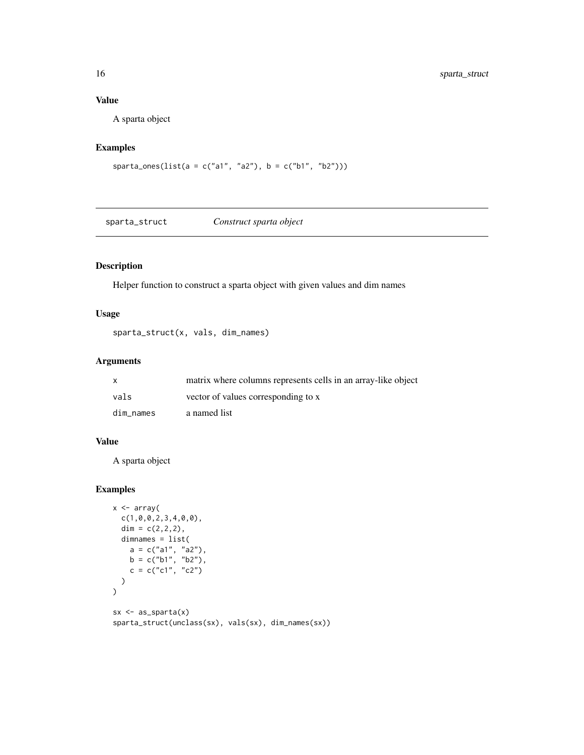#### Value

A sparta object

#### Examples

sparta\_ones(list(a = c("a1", "a2"), b = c("b1", "b2")))

sparta\_struct *Construct sparta object*

#### Description

Helper function to construct a sparta object with given values and dim names

#### Usage

sparta\_struct(x, vals, dim\_names)

#### Arguments

|           | matrix where columns represents cells in an array-like object |
|-----------|---------------------------------------------------------------|
| vals      | vector of values corresponding to x                           |
| dim names | a named list                                                  |

#### Value

A sparta object

```
x \leftarrow \text{array}(c(1,0,0,2,3,4,0,0),
  dim = c(2, 2, 2),
  dimnames = list(
     a = c("a1", "a2"),b = c("b1", "b2"),
    c = c("c1", "c2"))
\mathcal{L}sx \leftarrow as\_sparta(x)sparta_struct(unclass(sx), vals(sx), dim_names(sx))
```
<span id="page-15-0"></span>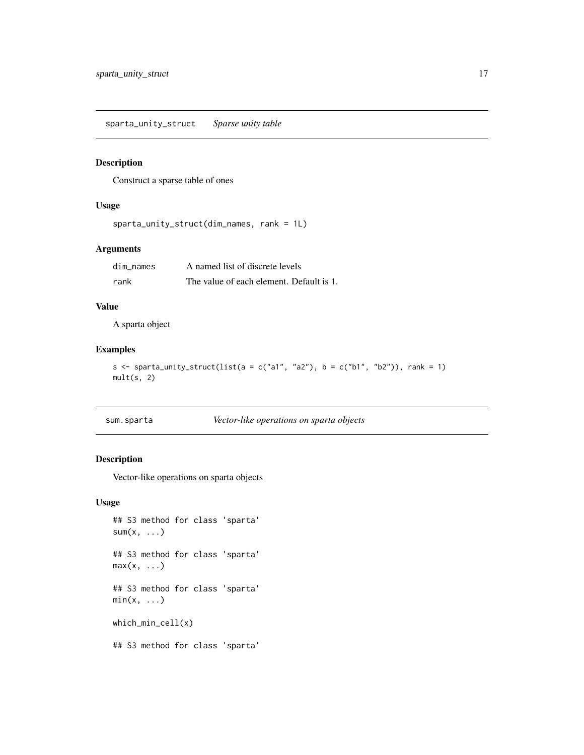<span id="page-16-0"></span>sparta\_unity\_struct *Sparse unity table*

#### Description

Construct a sparse table of ones

#### Usage

```
sparta_unity_struct(dim_names, rank = 1L)
```
#### Arguments

| dim names | A named list of discrete levels          |
|-----------|------------------------------------------|
| rank      | The value of each element. Default is 1. |

#### Value

A sparta object

#### Examples

```
s <- sparta_unity_struct(list(a = c("a1", "a2"), b = c("b1", "b2")), rank = 1)
mult(s, 2)
```

| sum.sparta | Vector-like operations on sparta objects |  |
|------------|------------------------------------------|--|
|            |                                          |  |

#### Description

Vector-like operations on sparta objects

#### Usage

```
## S3 method for class 'sparta'
sum(x, \ldots)## S3 method for class 'sparta'
max(x, \ldots)## S3 method for class 'sparta'
min(x, \ldots)which_min_cell(x)
## S3 method for class 'sparta'
```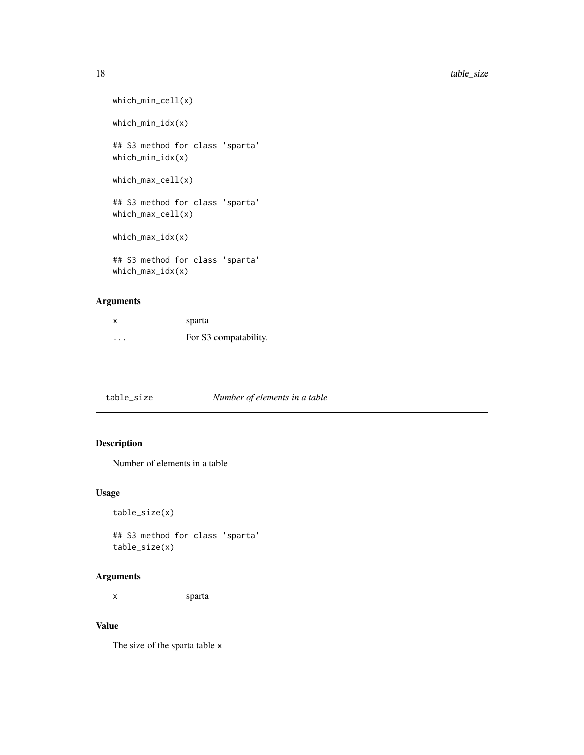```
which_min_cell(x)
which_min_idx(x)
## S3 method for class 'sparta'
which_min_idx(x)
which_max_cell(x)
## S3 method for class 'sparta'
which_max_cell(x)
which_max_idx(x)
## S3 method for class 'sparta'
which_max_idx(x)
```
#### Arguments

| x | sparta                |
|---|-----------------------|
| . | For S3 compatability. |

#### Description

Number of elements in a table

#### Usage

```
table_size(x)
```
## S3 method for class 'sparta' table\_size(x)

#### Arguments

x sparta

#### Value

The size of the sparta table x

<span id="page-17-0"></span>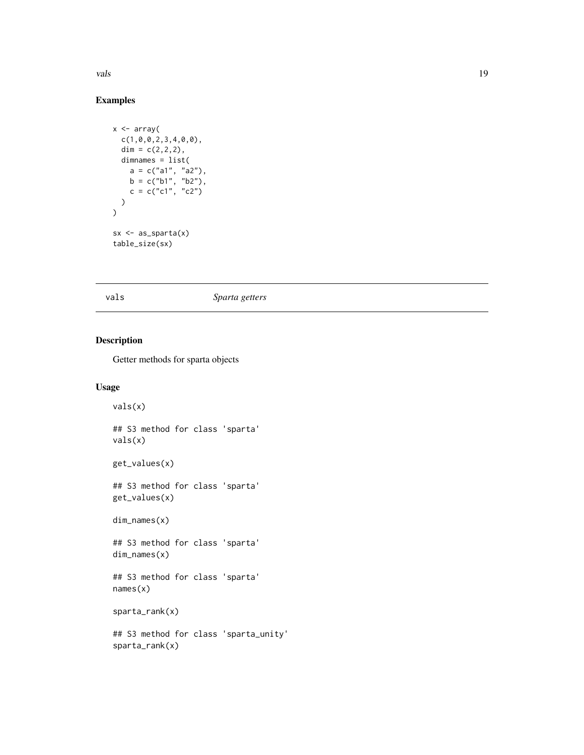<span id="page-18-0"></span>vals and the contract of the contract of the contract of the contract of the contract of the contract of the contract of the contract of the contract of the contract of the contract of the contract of the contract of the c

#### Examples

```
x \leftarrow \text{array}(c(1,0,0,2,3,4,0,0),
  dim = c(2, 2, 2),
  dimnames = list(
     a = c("a1", "a2"),b = c("b1", "b2"),
     c = c("c1", "c2"))
\mathcal{L}sx \leftarrow as\_sparta(x)table_size(sx)
```
vals *Sparta getters*

#### Description

Getter methods for sparta objects

#### Usage

```
vals(x)
## S3 method for class 'sparta'
vals(x)
get_values(x)
## S3 method for class 'sparta'
get_values(x)
dim_names(x)
## S3 method for class 'sparta'
dim_names(x)
## S3 method for class 'sparta'
names(x)
sparta_rank(x)
## S3 method for class 'sparta_unity'
sparta_rank(x)
```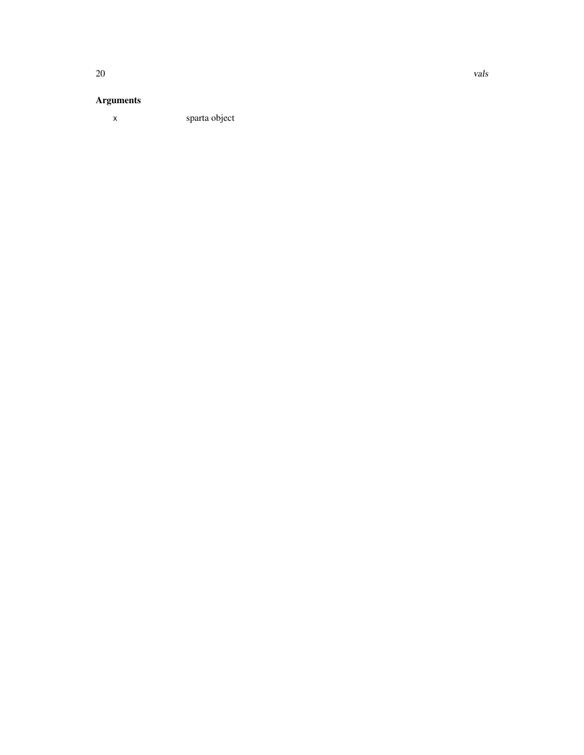#### Arguments

x sparta object